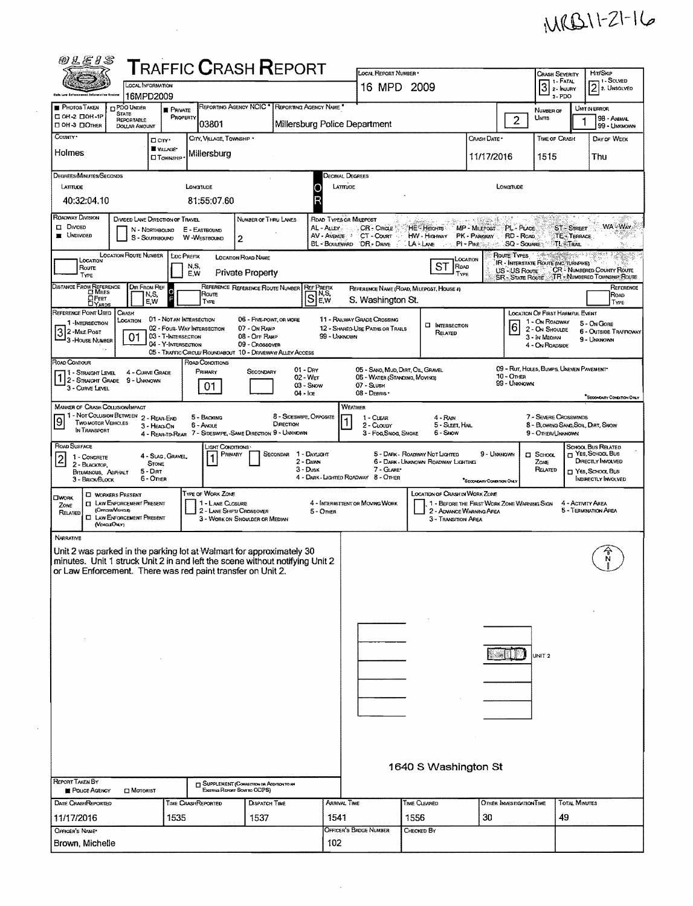## $M(B11-21-16)$

|                                                                                                                                             |                                                       |                               |                                                                          | <b>TRAFFIC CRASH REPORT</b>                 |                                    |              | LOCAL REPORT NUMBER *                                          |                                          |                                                                         |                                        | <b>CRASH SEVERITY</b>                                    |                                  | Hrt/Skip                                                          |
|---------------------------------------------------------------------------------------------------------------------------------------------|-------------------------------------------------------|-------------------------------|--------------------------------------------------------------------------|---------------------------------------------|------------------------------------|--------------|----------------------------------------------------------------|------------------------------------------|-------------------------------------------------------------------------|----------------------------------------|----------------------------------------------------------|----------------------------------|-------------------------------------------------------------------|
|                                                                                                                                             | LOCAL INFORMATION                                     |                               |                                                                          |                                             |                                    |              | 16 MPD 2009                                                    |                                          |                                                                         |                                        | 1 - Fatal<br>$3$ $\cdot$ FATAL $\cdot$<br>3-PDO          |                                  | 1 - Solved<br>$\sqrt{2}$ 2. UNSOLVED                              |
| <b>PHOTOS TAKEN</b>                                                                                                                         | 16MPD2009<br><b>DPDO UNDER</b>                        | <b>PRIVATE</b>                |                                                                          | REPORTING AGENCY NCIC <sup>*</sup>          | REPORTING AGENCY NAME <sup>®</sup> |              |                                                                |                                          |                                                                         |                                        | NUMBER OF                                                |                                  | UNIT IN ERROR                                                     |
| □ ОН-2 □ ОН-1Р<br>□ ОН З □ Олнея                                                                                                            | <b>STATE</b><br>REPORTABLE<br><b>DOLLAR AMOUNT</b>    | <b>PROPERTY</b>               | 03801                                                                    |                                             |                                    |              | Millersburg Police Department                                  |                                          |                                                                         | $\overline{2}$                         | UNITS                                                    |                                  | 98 - ANIMAL<br>99 - UNKNOWN                                       |
| County *                                                                                                                                    |                                                       | Don'                          | CITY, VILLAGE, TOWNSHIP *                                                |                                             |                                    |              |                                                                |                                          | Crash Date -                                                            |                                        | TIME OF CRASH                                            |                                  | DAY OF WEEK                                                       |
| Holmes                                                                                                                                      |                                                       | VILLAGE*<br><b>CITOWNSHIP</b> | Millersburg                                                              |                                             |                                    |              |                                                                |                                          | 11/17/2016                                                              |                                        | 1515                                                     |                                  | Thu                                                               |
|                                                                                                                                             |                                                       |                               |                                                                          |                                             |                                    |              |                                                                |                                          |                                                                         |                                        |                                                          |                                  |                                                                   |
| DEGREES/MINUTES/SECONDS<br>LATTUDE                                                                                                          |                                                       |                               | <b>LONGITUDE</b>                                                         |                                             |                                    | C            | Decimal Degrees<br>LATTUDE                                     |                                          |                                                                         | LONGTUDE                               |                                                          |                                  |                                                                   |
| 40:32:04.10                                                                                                                                 |                                                       |                               | 81:55:07.60                                                              |                                             |                                    | R            |                                                                |                                          |                                                                         |                                        |                                                          |                                  |                                                                   |
| ROADWAY DIVISION                                                                                                                            | DIVIDED LANE DIRECTION OF TRAVEL                      |                               |                                                                          | NUMBER OF THRU LANES                        |                                    |              | ROAD TYPES OR MILEPOST                                         |                                          |                                                                         |                                        |                                                          |                                  |                                                                   |
| <b>CI DIVIDED</b><br><b>E</b> UNDIVIDED                                                                                                     | N - NORTHBOUND                                        |                               | E - EASTBOUND                                                            |                                             |                                    | AL - ALLEY   | <b>CR-CIRCLE</b><br>AV - AVENUE : CT - COURT                   | HE Heights MP - MILEPOST<br>HW - Highway |                                                                         | PL - PLACE<br>RD - ROAD                |                                                          | <b>ST-STREET</b><br>TE - TERRACE | <b>WA-War</b>                                                     |
|                                                                                                                                             | S - SOLITHBOUND                                       |                               | W-WESTBOUND                                                              | $\overline{2}$                              |                                    |              | BL - BOULEVARD DR - DRIVE                                      | LA-LANE                                  | PK - PARKWAY<br>PI-PIKE                                                 | SQ - SQUARE                            |                                                          | ∵TL ∷Tral                        |                                                                   |
| LOCATION                                                                                                                                    | LOCATION ROUTE NUMBER                                 | <b>LOC PREFIX</b>             | N,S,                                                                     | LOCATION ROAD NAME                          |                                    |              |                                                                | ST<br>ROAD                               | LOCATION                                                                | Route Types                            | <b>IR - INTERSTATE ROUTE (INC. TURNPIKE)</b>             |                                  |                                                                   |
| <b>ROUTE</b><br>TYPE                                                                                                                        |                                                       |                               | E,W                                                                      | <b>Private Property</b>                     |                                    |              |                                                                | TYPE                                     |                                                                         | US-US Route<br><b>SR - STATE ROUTE</b> |                                                          |                                  | <b>CR</b> - NUMBERED COUNTY ROUTE<br>TR - NUMBERED TOWNSHIP ROUTE |
| DISTANCE FROM REFERENCE                                                                                                                     | <b>DIR FROM REF</b><br>N,S,                           |                               | Route                                                                    | REFERENCE REFERENCE ROUTE NUMBER REF PREFIX |                                    | N,S,         |                                                                | REFERENCE NAME (ROAD, MILEPOST, HOUSE #) |                                                                         |                                        |                                                          |                                  | REFERENCE<br>ROAD                                                 |
| <b>OFEET</b><br>DYARDS<br>REFERENCE POINT USED                                                                                              | E.W<br>CRASH                                          |                               | TYPE                                                                     |                                             |                                    | S<br>E.W     | S. Washington St.                                              |                                          |                                                                         |                                        | LOCATION OF FIRST HARMFUL EVENT                          |                                  | TYPE                                                              |
| 1-INTERSECTION                                                                                                                              | LOCATION                                              | 01 - Not an Intensection      | 02 - FOUR-WAY INTERSECTION                                               | 06 - FIVE-POINT, OR MORE<br>07 - On RAMP    |                                    |              | 11 - RAILWAY GRADE CROSSING<br>12 - SHARED-USE PATHS OR TRAILS | <b>INTERSECTION</b>                      |                                                                         | 16                                     | 1 - On ROADWAY                                           |                                  | 5 - On Gore                                                       |
| 32-MILE Post<br><sup>1</sup> 3 - House Number                                                                                               | 01                                                    | 03 - T INTERSECTION           |                                                                          | 08 - OFF RAMP                               |                                    | 99 - Unknown |                                                                | RELATED                                  |                                                                         |                                        | 2 - On Shoulde<br>3 - In MEDIAN                          |                                  | 6 - Outside Trafficway<br>9 - UNKNOWN                             |
|                                                                                                                                             |                                                       | 04 - Y-INTERSECTION           | 05 - TRAFFIC CIRCLE/ ROUNDABOUT 10 - DRIVEWAY ALLEY ACCESS               | 09 - Crossover                              |                                    |              |                                                                |                                          |                                                                         |                                        | 4 - ON ROADSIDE                                          |                                  |                                                                   |
| ROAD CONTOUR<br>11 - Straight Level                                                                                                         | 4 - CURVE GRADE                                       |                               | ROAD CONDITIONS<br>PRIMARY                                               | SECONDARY                                   | $01 - \text{DRY}$                  |              | 05 - SAND, MUD, DIRT, OIL GRAVEL                               |                                          |                                                                         |                                        | 09 - Rut, HOLES, BUMPS, UNEVEN PAVEMENT*                 |                                  |                                                                   |
| 12-STRAIGHT GRADE<br>3 - CURVE LEVEL                                                                                                        | 9 - UNKNOWN                                           |                               | 01                                                                       |                                             | 02 - WET                           | 03 - Snow    | 05 - WATER (STANDING, MOVING)<br>07 - SLUSH                    |                                          |                                                                         | 10 - Omen<br>99 - UNKNOWN              |                                                          |                                  |                                                                   |
|                                                                                                                                             |                                                       |                               |                                                                          |                                             | $04 - loc$                         |              | 08 - DEBRIS ·                                                  |                                          |                                                                         |                                        |                                                          |                                  | SECONDARY CONDITION ONLY                                          |
| <b>MANKER OF CRASH COLLISION/IMPACT</b><br>1 - Not Collision Between 2 - Rear-End                                                           |                                                       |                               | 5 - BACKING                                                              |                                             | 8 - Sideswipe, Opposite            |              | WEATHER<br>1 - CLEAR                                           | 4 - RAIN                                 |                                                                         |                                        | 7 - SEVERE CROSSWINDS                                    |                                  |                                                                   |
| 9<br><b>TWO MOTOR VEHICLES</b><br>IN TRANSPORT                                                                                              |                                                       | 3 - HEAD ON                   | 6 - Angle<br>4 - REAR-TO-REAR 7 - SIDESWIPE, -SAME DIRECTION 9 - UNKNOWN |                                             | DIRECTION                          |              | 2 - CLouay<br>3 - Fog, Smog, Smoke                             | 5 - SLEET, HAIL<br>6 - Snow              |                                                                         |                                        | 8 - BLOWING SAND, SOIL, DIRT, SNOW<br>9 - Other/Linknown |                                  |                                                                   |
| ROAD SURFACE                                                                                                                                |                                                       |                               | LIGHT CONDITIONS                                                         |                                             |                                    |              |                                                                |                                          |                                                                         |                                        |                                                          |                                  | SCHOOL BUS RELATED                                                |
| 1 - CONCRETE<br>$\overline{2}$<br>2 - BLACKTOP,                                                                                             |                                                       | 4 - Slag, Gravel,             |                                                                          | PRIMARY                                     | SECONDAR<br>2 - DAWN               | 1 - DAYLIGHT |                                                                | 5 - DARK - ROADWAY NOT LIGHTED           | 9 - Unanown                                                             |                                        | $\square$ School<br>Zone                                 |                                  | YES, SCHOOL BUS<br>DIRECTLY INVOLVED                              |
|                                                                                                                                             |                                                       | <b>STONE</b>                  |                                                                          |                                             |                                    |              |                                                                | 6 - DARK - UNKNOWN ROADWAY LIGHTING      |                                                                         |                                        |                                                          |                                  |                                                                   |
| BITUMINOUS ASPHALT<br>3 - BRICK BLOCK                                                                                                       | 5 - Dirt                                              | 6 - Other                     |                                                                          |                                             |                                    | $3 -$ Dusk   | 7 - GLARE*<br>4 - DARK - LIGHTED ROADWAY 8 - OTHER             |                                          |                                                                         |                                        | RELATED                                                  |                                  |                                                                   |
|                                                                                                                                             | <b>CJ</b> WORKERS PRESENT                             |                               | TYPE OF WORK ZONE                                                        |                                             |                                    |              |                                                                | LOCATION OF CRASH IN WORK ZONE           | "SECONDARY CONDITION ONLY                                               |                                        |                                                          |                                  |                                                                   |
| <b>CIWORK</b><br>ZONE                                                                                                                       | <b>T LAW ENFORCEMENT PRESENT</b><br>(OFFICER/VEHICLE) |                               | 1 - LANE CLOSURE                                                         | 2 - LANE SHIFT/ CROSSOVER                   |                                    | 5 - Oner     | 4 - INTERMITTENT OR MOVING WORK                                |                                          | 1 - BEFORE THE FIRST WORK ZONE WARNING SIGN<br>2 - ADVANCE WARNING AREA |                                        |                                                          | 4 - ACTIVITY AREA                |                                                                   |
| RELATED<br>(VDscLEOKLY)                                                                                                                     | <b>CI LAW ENFORCEMENT PRESENT</b>                     |                               |                                                                          | 3 - WORK ON SHOULDER OR MEDIAN              |                                    |              |                                                                | 3 - Transition Area                      |                                                                         |                                        |                                                          |                                  |                                                                   |
| <b>NARRATIVE</b>                                                                                                                            |                                                       |                               |                                                                          |                                             |                                    |              |                                                                |                                          |                                                                         |                                        |                                                          |                                  |                                                                   |
| Unit 2 was parked in the parking lot at Walmart for approximately 30                                                                        |                                                       |                               |                                                                          |                                             |                                    |              |                                                                |                                          |                                                                         |                                        |                                                          |                                  | N                                                                 |
| minutes. Unit 1 struck Unit 2 in and left the scene without notifying Unit 2<br>or Law Enforcement. There was red paint transfer on Unit 2. |                                                       |                               |                                                                          |                                             |                                    |              |                                                                |                                          |                                                                         |                                        |                                                          |                                  |                                                                   |
|                                                                                                                                             |                                                       |                               |                                                                          |                                             |                                    |              |                                                                |                                          |                                                                         |                                        |                                                          |                                  |                                                                   |
|                                                                                                                                             |                                                       |                               |                                                                          |                                             |                                    |              |                                                                |                                          |                                                                         |                                        |                                                          |                                  |                                                                   |
|                                                                                                                                             |                                                       |                               |                                                                          |                                             |                                    |              |                                                                |                                          |                                                                         |                                        |                                                          |                                  |                                                                   |
|                                                                                                                                             |                                                       |                               |                                                                          |                                             |                                    |              |                                                                |                                          |                                                                         |                                        |                                                          |                                  |                                                                   |
|                                                                                                                                             |                                                       |                               |                                                                          |                                             |                                    |              |                                                                |                                          |                                                                         |                                        |                                                          |                                  |                                                                   |
|                                                                                                                                             |                                                       |                               |                                                                          |                                             |                                    |              |                                                                |                                          |                                                                         |                                        | UNIT <sub>2</sub>                                        |                                  |                                                                   |
|                                                                                                                                             |                                                       |                               |                                                                          |                                             |                                    |              |                                                                |                                          |                                                                         |                                        |                                                          |                                  |                                                                   |
|                                                                                                                                             |                                                       |                               |                                                                          |                                             |                                    |              |                                                                |                                          |                                                                         |                                        |                                                          |                                  |                                                                   |
|                                                                                                                                             |                                                       |                               |                                                                          |                                             |                                    |              |                                                                |                                          |                                                                         |                                        |                                                          |                                  |                                                                   |
|                                                                                                                                             |                                                       |                               |                                                                          |                                             |                                    |              |                                                                |                                          |                                                                         |                                        |                                                          |                                  |                                                                   |
|                                                                                                                                             |                                                       |                               |                                                                          |                                             |                                    |              |                                                                |                                          |                                                                         |                                        |                                                          |                                  |                                                                   |
|                                                                                                                                             |                                                       |                               |                                                                          |                                             |                                    |              |                                                                |                                          |                                                                         |                                        |                                                          |                                  |                                                                   |
|                                                                                                                                             |                                                       |                               |                                                                          |                                             |                                    |              |                                                                | 1640 S Washington St                     |                                                                         |                                        |                                                          |                                  |                                                                   |
| <b>REPORT TAKEN BY</b>                                                                                                                      |                                                       |                               |                                                                          | SUPPLEMENT (CORRECTION OR ADDITION TO AN    |                                    |              |                                                                |                                          |                                                                         |                                        |                                                          |                                  |                                                                   |
| Pouce AGENCY                                                                                                                                | <b>CI MOTORIST</b>                                    |                               |                                                                          | Examsa Report Sent to ODPS)                 |                                    |              |                                                                |                                          |                                                                         |                                        |                                                          |                                  |                                                                   |
| <b>DATE CRASHREPORTED</b>                                                                                                                   |                                                       |                               | TIME CRASHREPORTED                                                       | <b>DISPATCH TIME</b>                        |                                    |              | Arrival Time                                                   | TIME CLEARED                             |                                                                         | OTHER INVESTIGATION TIME               |                                                          | <b>TOTAL MINUTES</b>             |                                                                   |
| 11/17/2016<br>OFFICER'S NAME                                                                                                                |                                                       | 1535                          |                                                                          | 1537                                        |                                    | 1541         | <b>OFFICER'S BADGE NUMBER</b>                                  | 1556<br>CHECKED BY                       | 30                                                                      |                                        |                                                          | 49                               | □ Yes, Schoor, Bus<br>INDIRECTLY INVOLVED<br>5 - TERMINATION AREA |

 $\mathcal{L}^{\text{max}}_{\text{max}}$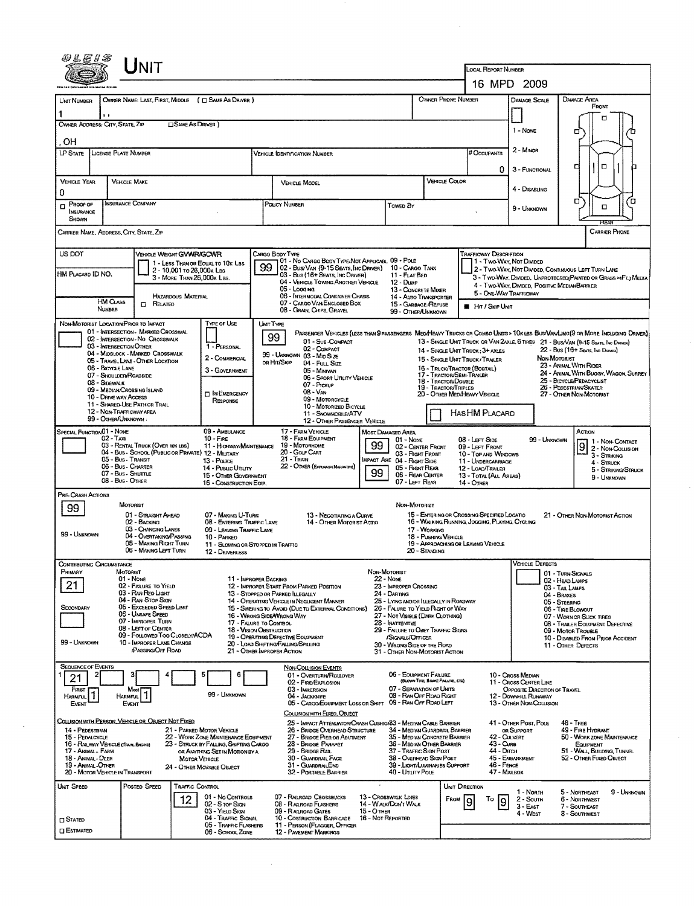|                                                                                                                                                                                 | <b>NIT</b>                                                                                                                                                                                                                                                                                        |                                                                                                                                                                            |                                                                                                                                                                                                                                                                                                                                                                                                       |                                                                                                                                                                                                                                                         |                                                                                                                                                                                                                 |                                                                                                                                              |                                                                                                                                  |                                                                                                                                                                                                                                                                                                                                                                                                             |  |
|---------------------------------------------------------------------------------------------------------------------------------------------------------------------------------|---------------------------------------------------------------------------------------------------------------------------------------------------------------------------------------------------------------------------------------------------------------------------------------------------|----------------------------------------------------------------------------------------------------------------------------------------------------------------------------|-------------------------------------------------------------------------------------------------------------------------------------------------------------------------------------------------------------------------------------------------------------------------------------------------------------------------------------------------------------------------------------------------------|---------------------------------------------------------------------------------------------------------------------------------------------------------------------------------------------------------------------------------------------------------|-----------------------------------------------------------------------------------------------------------------------------------------------------------------------------------------------------------------|----------------------------------------------------------------------------------------------------------------------------------------------|----------------------------------------------------------------------------------------------------------------------------------|-------------------------------------------------------------------------------------------------------------------------------------------------------------------------------------------------------------------------------------------------------------------------------------------------------------------------------------------------------------------------------------------------------------|--|
|                                                                                                                                                                                 |                                                                                                                                                                                                                                                                                                   |                                                                                                                                                                            |                                                                                                                                                                                                                                                                                                                                                                                                       |                                                                                                                                                                                                                                                         | <b>LOCAL REPORT NUMBER</b><br>16 MPD 2009                                                                                                                                                                       |                                                                                                                                              |                                                                                                                                  |                                                                                                                                                                                                                                                                                                                                                                                                             |  |
|                                                                                                                                                                                 |                                                                                                                                                                                                                                                                                                   |                                                                                                                                                                            |                                                                                                                                                                                                                                                                                                                                                                                                       |                                                                                                                                                                                                                                                         |                                                                                                                                                                                                                 |                                                                                                                                              |                                                                                                                                  |                                                                                                                                                                                                                                                                                                                                                                                                             |  |
| Unit Number<br>OWNER ADDRESS: CITY, STATE, ZIP                                                                                                                                  | OWNER NAME: LAST, FIRST, MIDDLE ( C SAME AS DRIVER )<br><b>CISAME AS DRIVER</b> )                                                                                                                                                                                                                 |                                                                                                                                                                            |                                                                                                                                                                                                                                                                                                                                                                                                       |                                                                                                                                                                                                                                                         | OWNER PHONE NUMBER                                                                                                                                                                                              |                                                                                                                                              | <b>DAMAGE SCALE</b><br>1 - None                                                                                                  | Damage Area<br>FRONT<br>п<br>σ                                                                                                                                                                                                                                                                                                                                                                              |  |
| .OH<br>LP STATE                                                                                                                                                                 | <b>LICENSE PLATE NUMBER</b>                                                                                                                                                                                                                                                                       |                                                                                                                                                                            | VEHICLE IDENTIFICATION NUMBER                                                                                                                                                                                                                                                                                                                                                                         |                                                                                                                                                                                                                                                         |                                                                                                                                                                                                                 | # Occupants                                                                                                                                  | 2 - Minon                                                                                                                        | $\Box$<br>а                                                                                                                                                                                                                                                                                                                                                                                                 |  |
| VEHICLE YEAR<br>Ω                                                                                                                                                               | <b>VEHICLE MAKE</b>                                                                                                                                                                                                                                                                               |                                                                                                                                                                            | VEHICLE MODEL                                                                                                                                                                                                                                                                                                                                                                                         |                                                                                                                                                                                                                                                         | VEHICLE COLOR                                                                                                                                                                                                   | 0                                                                                                                                            | 3 - FUNCTIONAL<br>4 - DISABLING                                                                                                  |                                                                                                                                                                                                                                                                                                                                                                                                             |  |
| Proof of<br>α<br>INSURANCE<br>SHOWN                                                                                                                                             | INSURANCE COMPANY                                                                                                                                                                                                                                                                                 |                                                                                                                                                                            | POLICY NUMBER                                                                                                                                                                                                                                                                                                                                                                                         | Towed By                                                                                                                                                                                                                                                |                                                                                                                                                                                                                 |                                                                                                                                              | 9 - UNKNOWN                                                                                                                      | σ<br>o<br>$\Box$                                                                                                                                                                                                                                                                                                                                                                                            |  |
| Carrier Name, Address, City, State, Zip                                                                                                                                         |                                                                                                                                                                                                                                                                                                   |                                                                                                                                                                            |                                                                                                                                                                                                                                                                                                                                                                                                       |                                                                                                                                                                                                                                                         |                                                                                                                                                                                                                 |                                                                                                                                              |                                                                                                                                  | CARRIER PHONE                                                                                                                                                                                                                                                                                                                                                                                               |  |
| US DOT<br>HM PLACARD ID NO.<br>HM CLASS<br><b>NUMBER</b>                                                                                                                        | <b>VEHICLE WEIGHT GVWR/GCWR</b><br>1 - LESS THAN OR EQUAL TO 10x LBS<br>2 - 10,001 To 26,000 k LBS<br>3 - MORE THAN 26,000K LBS.<br><b>HAZARDOUS MATERIAL</b><br>$\Box$ Related                                                                                                                   |                                                                                                                                                                            | Cargo Body Type<br>01 - No CARGO BODY TYPE/NOT APPLICABL 09 - POLE<br>99<br>02 - Busy Van (9-15 Seats, Inc Driver)<br>03 - Bus (16+ Seats, INC DRIVER)<br>04 - VEHICLE TOWING ANOTHER VEHICLE<br>05 - LOGGING<br>06 - INTERMODAL CONTAINER CHASIS<br>07 - CARGO VAN/ENCLOSED BOX<br>08 - Grain, Chips, Gravel                                                                                         | 10 - CARGO TANK<br>11 - FLAT BED<br>$12 -$ Duse<br>13 - CONCRETE MIXER<br>15 - GARBAGE REFUSE<br>99 - OTHER/UNKNOWN                                                                                                                                     | 14 - AUTO TRANSPORTER                                                                                                                                                                                           | <b>TRAFFICWAY DESCRIPTION</b><br>5 - ONE-WAY TRAFFICWAY<br><b>HIT / SKIP UNIT</b>                                                            | 1 - Two Way, Not Divided<br>4 - TWO-WAY, DIVIDED, POSITIVE MEDIANBARRIER                                                         | 2 - Two-Way, Not Divided, Continuous LEFT TURN LANE<br>3 - Two WAY, DMOED, UNPROTECTED (PAINTED OR GRASS > AFT.) MEDIA                                                                                                                                                                                                                                                                                      |  |
| NON-MOTORIST LOCATION PRIOR TO IMPACT<br>06 - BICYCLE LANE<br>08 - Sidewalk<br>10 - DRIVE WAY ACCESS<br>99 - OTHER/UNKNOWN :                                                    | 01 - INTERSECTION - MARKED CROSSWAL<br>02 - INTERSECTION - NO CROSSWALK<br>03 - INTERSECTION OTHER<br>04 - MIDBLOCK - MARKED CROSSWALK<br>05 - TRAVEL LANE - OTHER LOCATION<br>07 - Shoulder/Roadside<br>09 - MEDIAN CROSSING ISLAND<br>11 - SHARED-USE PATH OR TRAIL<br>12 - NON-TRAFFICWAY AREA | TYPE OF USE<br>1 - PERSONAL<br>2 - COMMERCIAL<br>3 - GOVERNMENT<br><b>IN EMERGENCY</b><br>RESPONSE                                                                         | UNIT TYPE<br>99<br>01 - Sua COMPACT<br>02 - COMPACT<br>99 - UNKNOWN 03 - MID SIZE<br>OR HIT/SKIP<br>04 - FULL SIZE<br>05 - MINIVAN<br>06 - Sport Unuty Vehicle<br>07 - PICKUP<br>08 - VAN<br>09 - MOTORCYCLE<br>10 - MOTORIZED BICYCLE<br>11 - SNOWMOBILE/ATV<br>12 - OTHER PASSENGER VEHICLE                                                                                                         |                                                                                                                                                                                                                                                         | 14 - SINGLE UNIT TRUCK: 3+ AXLES<br>15 - SINGLE UNIT TRUCK/ TRAILER<br>16 - TRUCK/TRACTOR (BOSTAIL)<br>17 - Tractor/Semi-Trailer<br>18 - TRACTOR/DOUBLE<br>19 - TRACTOR/TRIPLES<br>20 - OTHER MEDIHEAVY VEHICLE | HASHM PLACARD                                                                                                                                | <b>NON-MOTORIST</b>                                                                                                              | PASSENGER VEHICLES (LESS THAN SPASSENGERS MEDIHEAVY TRUCKS OR COMBO UNTS > 10K LBS BUS/VAN/LIMO(S OR MORE INCLUDING DRIVER)<br>13 - SINGLE UNIT TRUCK OR VAN 2AXLE, 6 TIRES 21 - BUS/VAN (9-15 SEATS, INC DRIVER)<br>22 - BUS (16+ Seats, Inc. Dravers)<br>23 - ANIMAL WITH RIDER<br>24 - ANIMAL WITH BUGGY, WAGON, SURREY<br>25 - BIOYCLE/PEDACYCLIST<br>26 - PEDESTRIAN SKATER<br>27 - OTHER NON-MOTORIST |  |
| Special Function 01 - None<br>$02 - T_Ax_1$                                                                                                                                     | 03 - RENTAL TRUCK (OVER 10K LBS)<br>04 - BUS - SCHOOL (PUBLIC OR PRIVATE) 12 - MILITARY<br>05 - Bus - Transit<br>06 - Bus - Charter<br>07 - Bus - SHUTTLE<br>08 - Bus - OTHER                                                                                                                     | 09 - AMBULANCE<br>$10 -$ Fire<br>11 - HIGHWAY/MAINTENANCE<br>$13 -$ Pouce<br>14 - Pusuc Uttury<br>15 - OTHER GOVERNMENT<br>16 - CONSTRUCTION EQIP.                         | 17 - FARM VEHICLE<br>18 - FARM EQUIPMENT<br>19 - MOTORHOME<br>20 - GOLF CART<br>$21 -$ Train<br>22 - OTHER (EXPLANIN NARRATIVE)                                                                                                                                                                                                                                                                       | <b>MOST DAMAGED AREA</b><br>$01 - None$<br>99<br>03 - Right Front<br>IMPACT ARE 04 - RIGHT SIDE<br>05 - Right Rear<br>99<br>06 - REAR CENTER<br>07 - LEFT REAR                                                                                          | 02 - CENTER FRONT                                                                                                                                                                                               | 08 - LEFT SIDE<br>09 - LEFT FRONT<br>10 - TOP AND WINDOWS<br>11 - UNDERCARRIAGE<br>12 - LOAD/TRAILER<br>13 - TOTAL (ALL AREAS)<br>14 - OTHER | 99 - UNKNOWN                                                                                                                     | ACTION<br>1 - NON-CONTACT<br>Ι9<br>2 - Non-Comston<br>3 - STRIKING<br>4 - STRUCK<br>5 - Striking/Striuck<br>9 - UNKNOWN                                                                                                                                                                                                                                                                                     |  |
| PRE-CRASH ACTIONS<br>99<br>99 - UNKNOWN                                                                                                                                         | MOTORIST<br>01 - STRAIGHT AHEAD<br>02 - BACKING<br>03 - CHANGING LANES<br>04 - OVERTAKING PASSING<br>05 - MAKING RIGHT TURN<br>06 - MAKING LEFT TURN                                                                                                                                              | 07 - MAKING U-TURN<br>08 - ENTERING TRAFFIC LANE<br>09 - LEAVING TRAFFIC LANE<br>10 - PARKED<br>11 - SLOWING OR STOPPED IN TRAFFIC<br>12 - DRIVERLESS                      | 13 - Negotiating a Curve<br>14 - OTHER MOTORIST ACTIO                                                                                                                                                                                                                                                                                                                                                 | Non-MOTORIST                                                                                                                                                                                                                                            | 15 - ENTERING OR CROSSING SPECIFIED LOCATIO<br>16 - WALKING RUNNING, JOGGING, PLAYING, CYCLING<br>17 - WORKING<br>18 - PUSHING VEHICLE<br>19 - APPROACHING OR LEAVING VEHICLE<br>20 - Standing                  |                                                                                                                                              |                                                                                                                                  | 21 - OTHER NON-MOTORIST ACTION                                                                                                                                                                                                                                                                                                                                                                              |  |
| <b>CONTRIBUTING CIRCUMSTANCE</b><br>PRIMARY<br>21<br>SECONDARY<br>99 - UNKNOWN                                                                                                  | MOTORIST<br>01 - None<br>02 - FALURE TO YIELD<br>03 - RAN RED LIGHT<br>04 - RAN Stop Stan<br>05 - Exceeded Speed Limit<br>06 - UNSAFE SPEED<br>07 - IMPROPER TURN<br>08 - LEFT OF CENTER<br>09 - FOLLOWED TOO CLOSELY/ACDA<br>10 - IMPROPER LANE CHANGE<br><b>PASSING OFF ROAD</b>                |                                                                                                                                                                            | 11 - IMPROPER BACKING<br>12 - IMPROPER START FROM PARKED POSITION<br>13 - STOPPED OR PARKED LLEGALLY<br>14 - OPERATING VEHICLE IN NEGLIGENT MANNER<br>15 - SWERING TO AVOID (DUE TO EXTERNAL CONDITIONS)<br>16 - WRONG SIDE/WRONG WAY<br>17 - FALURE TO CONTROL<br>18 - Vision Oastruction<br>19 - Operating Defective Equipment<br>20 - LOAD SHIFTING/FALLING/SPILLING<br>21 - OTHER IMPROPER ACTION | NON-MOTORIST<br>$22 - None$<br>23 - IMPROPER CROSSING<br>24 - DARTING<br>26 - FALURE TO YIELD RIGHT OF WAY<br>27 - NOT VISIBLE (DARK CLOTHING)<br>28 - INATTENTIVE<br>/SIGNALS/OFFICER<br>30 - WRONG SIDE OF THE ROAD<br>31 - OTHER NON-MOTORIST ACTION | 25 - LYING AND/OR LLEGALLY IN ROADWAY<br>29 - FAILURE TO OBEY TRAFFIC SIGNS                                                                                                                                     |                                                                                                                                              | VEHICLE DEFECTS                                                                                                                  | 01 - TURN SIGNALS<br>02 - HEAD LAMPS<br>03 - TAIL LAMPS<br>04 - BRAKES<br>05 - STEERING<br>06 - TIRE BLOWOUT<br>07 - WORN OR SUCK TIRES<br>08 - TRAILER EQUIPMENT DEFECTIVE<br>09 - MOTOR TROUBLE<br>10 - DISABLED FROM PRIOR ACCIDENT<br>11 - OTHER DEFECTS                                                                                                                                                |  |
| <b>SEQUENCE OF EVENTS</b><br>21<br>FIRST<br>$\vert$ 1<br><b>HARMFUL</b><br>EVENT                                                                                                | Most<br>HARMFUL <sup>1</sup><br>EVENT                                                                                                                                                                                                                                                             | 5<br>6<br>99 - UNKNOWN                                                                                                                                                     | <b>NON-COLLISION EVENTS</b><br>01 - Overturn/Rollover<br>02 - FIRE/EXPLOSION<br>03 - IMMERSION<br>04 - Jackkanfe<br>COLLISION WITH EIXED, OBJECT                                                                                                                                                                                                                                                      | <b>06 - EQUIPMENT FAILURE</b><br>05 - CARGO/EOU/PMENT LOSS OR SHIFT 09 - RAN OFF ROAD LEFT                                                                                                                                                              | (BLOWN TIRE, BRAKE FAILURE, ETC)<br>07 - SEPARATION OF UNITS<br>08 - RAN OFF ROAD RIGHT                                                                                                                         |                                                                                                                                              | 10 - Cross Median<br>11 - Cross Center Line<br>OPPOSITE DIRECTION OF TRAVEL<br>12 - Downhill Runaway<br>13 - OTHER NON-COLLISION |                                                                                                                                                                                                                                                                                                                                                                                                             |  |
| 14 - PEDESTRIAN<br>15 - PEDALCYCLE<br>16 - RAILWAY VEHICLE (TRAIN, ENGINE)<br>17 - ANNAL - FARM<br>18 - Animal - Deer<br>19 - ANIMAL - OTHER<br>20 - MOTOR VEHICLE IN TRANSPORT | COLLISION WITH PERSON, VEHICLE OR OBJECT NOT FIXED<br><b>MOTOR VEHICLE</b>                                                                                                                                                                                                                        | 21 - PARKED MOTOR VEHICLE<br>22 - WORK ZONE MAINTENANCE EQUIPMENT<br>23 - STRUCK BY FALLING, SHIFTING CARGO<br>OR ANYTHING SET IN MOTION BY A<br>24 - OTHER MOVABLE OBJECT | 26 - BRIDGE OVERHEAD STRUCTURE<br>27 - BRIDGE PIER OR ABUTMENT<br>28 - BRIDGE PARAPET<br>29 - Bridge Rail<br>30 - GUARDRAIL FACE<br>31 - GUARDRAILEND<br>32 - PORTABLE BARRIER                                                                                                                                                                                                                        | 25 - Impact Attenuator/Crash Cushion33 - Median Cable Barrier<br>37 - TRAFFIC SIGN POST<br>40 - UTIUTY POLE                                                                                                                                             | 34 - MEDIAN GUARDRAIL BARRIER<br>35 - MEDIAN CONCRETE BARRIER<br>36 - MEDIAN OTHER BARRIER<br>38 - Overhead Sign Post<br>39 - LIGHT/LUMINARIES SUPPORT                                                          | 42 - CULVERT<br>43 - Cuna<br>44 - Олтсн<br>46 - FENCE<br>47 - MAILBOX                                                                        | 41 - OTHER POST, POLE<br>OR SUPPORT<br>45 - EMBANKMENT                                                                           | <b>48 - TREE</b><br>49 - FIRE HYDRANT<br>50 - WORK ZONE MAINTENANCE<br>EQUIPMENT<br>51 - WALL, BUILDING, TUNNEL<br>52 - OTHER FIXED OBJECT                                                                                                                                                                                                                                                                  |  |
| UNIT SPEED<br><b>CI STATED</b><br><b>D</b> ESTIMATED                                                                                                                            | Posted Speed<br><b>TRAFFIC CONTROL</b><br>12                                                                                                                                                                                                                                                      | 01 - No CONTROLS<br>02 - S TOP SIGN<br>03 - YIELD SIGN<br>04 - TRAFFIC SIGNAL<br>05 - TRAFFIC FLASHERS<br>06 - SCHOOL ZONE                                                 | 07 - RAILROAD CROSSBUCKS<br>08 - RALROAD FLASHERS<br>09 - RALROAD GATES<br>10 - COSTRUCTION BARRICADE<br>11 - PERSON (FLAGGER, OFFICER<br><b>12 - PAVEMENT MARKINGS</b>                                                                                                                                                                                                                               | 13 - Crosswalk LINES<br>14 - WALK/DON'T WALK<br>$15 - O$ THER<br>16 - Not Reported                                                                                                                                                                      | UNIT DIRECTION<br>FROM                                                                                                                                                                                          | Τo<br>19<br>19                                                                                                                               | 1 - North<br>2 - South<br>3 - East<br>4 - WEST                                                                                   | 9 - UNKNOWN<br>5 - NORTHEAST<br><b>6 - NORTHWEST</b><br>7 - SOUTHEAST<br>8 - Southmest                                                                                                                                                                                                                                                                                                                      |  |

 $\mathcal{L}^{\text{max}}_{\text{max}}$ 

 $\label{eq:2} \frac{1}{\sqrt{2}}\left(\frac{1}{\sqrt{2}}\right)^{2} \left(\frac{1}{\sqrt{2}}\right)^{2}$ 

 $\sim$ 

 $\mathcal{A}$ 

 $\mathcal{L}_{\mathcal{A}}$